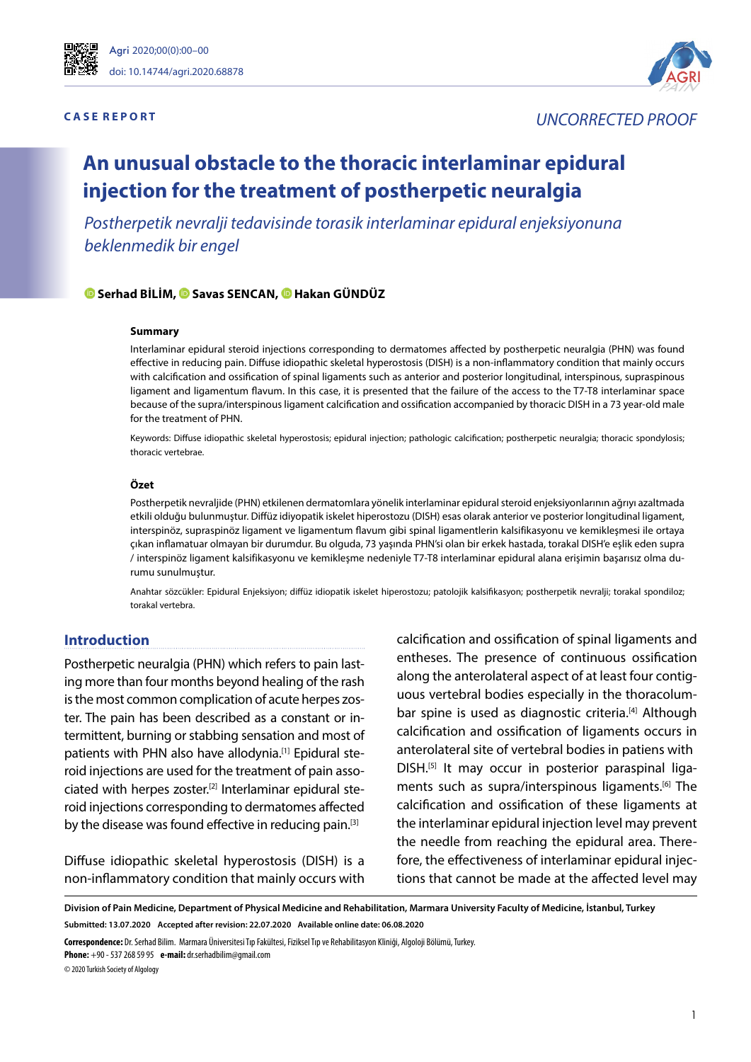



# **C A S E R E P O R T** *UNCORRECTED PROOF*

# **An unusual obstacle to the thoracic interlaminar epidural injection for the treatment of postherpetic neuralgia**

*Postherpetik nevralji tedavisinde torasik interlaminar epidural enjeksiyonuna beklenmedik bir engel*

#### **Serhad BILIM,Savas SENCAN,Hakan GÜNDÜZ**

#### **Summary**

Interlaminar epidural steroid injections corresponding to dermatomes affected by postherpetic neuralgia (PHN) was found effective in reducing pain. Diffuse idiopathic skeletal hyperostosis (DISH) is a non-inflammatory condition that mainly occurs with calcification and ossification of spinal ligaments such as anterior and posterior longitudinal, interspinous, supraspinous ligament and ligamentum flavum. In this case, it is presented that the failure of the access to the T7-T8 interlaminar space because of the supra/interspinous ligament calcification and ossification accompanied by thoracic DISH in a 73 year-old male for the treatment of PHN.

Keywords: Diffuse idiopathic skeletal hyperostosis; epidural injection; pathologic calcification; postherpetic neuralgia; thoracic spondylosis; thoracic vertebrae.

#### **Özet**

Postherpetik nevraljide (PHN) etkilenen dermatomlara yönelik interlaminar epidural steroid enjeksiyonlarının ağrıyı azaltmada etkili olduğu bulunmuştur. Diffüz idiyopatik iskelet hiperostozu (DISH) esas olarak anterior ve posterior longitudinal ligament, interspinöz, supraspinöz ligament ve ligamentum flavum gibi spinal ligamentlerin kalsifikasyonu ve kemikleşmesi ile ortaya çıkan inflamatuar olmayan bir durumdur. Bu olguda, 73 yaşında PHN'si olan bir erkek hastada, torakal DISH'e eşlik eden supra / interspinöz ligament kalsifikasyonu ve kemikleşme nedeniyle T7-T8 interlaminar epidural alana erişimin başarısız olma durumu sunulmuştur.

Anahtar sözcükler: Epidural Enjeksiyon; diffüz idiopatik iskelet hiperostozu; patolojik kalsifikasyon; postherpetik nevralji; torakal spondiloz; torakal vertebra.

#### **Introduction**

Postherpetic neuralgia (PHN) which refers to pain lasting more than four months beyond healing of the rash is the most common complication of acute herpes zoster. The pain has been described as a constant or intermittent, burning or stabbing sensation and most of patients with PHN also have allodynia.<sup>[1]</sup> Epidural steroid injections are used for the treatment of pain associated with herpes zoster.[2] Interlaminar epidural steroid injections corresponding to dermatomes affected by the disease was found effective in reducing pain.<sup>[3]</sup>

Diffuse idiopathic skeletal hyperostosis (DISH) is a non-inflammatory condition that mainly occurs with calcification and ossification of spinal ligaments and entheses. The presence of continuous ossification along the anterolateral aspect of at least four contiguous vertebral bodies especially in the thoracolumbar spine is used as diagnostic criteria.<sup>[4]</sup> Although calcification and ossification of ligaments occurs in anterolateral site of vertebral bodies in patiens with DISH.[5] It may occur in posterior paraspinal ligaments such as supra/interspinous ligaments.[6] The calcification and ossification of these ligaments at the interlaminar epidural injection level may prevent the needle from reaching the epidural area. Therefore, the effectiveness of interlaminar epidural injections that cannot be made at the affected level may

**Division of Pain Medicine, Department of Physical Medicine and Rehabilitation, Marmara University Faculty of Medicine, İstanbul, Turkey Submitted: 13.07.2020 Accepted after revision: 22.07.2020 Available online date: 06.08.2020**

**Correspondence:** Dr. Serhad Bilim. Marmara Üniversitesi Tıp Fakültesi, Fiziksel Tıp ve Rehabilitasyon Kliniği, Algoloji Bölümü, Turkey.

**Phone:** +90 - 537 268 59 95 **e-mail:** dr.serhadbilim@gmail.com

© 2020 Turkish Society of Algology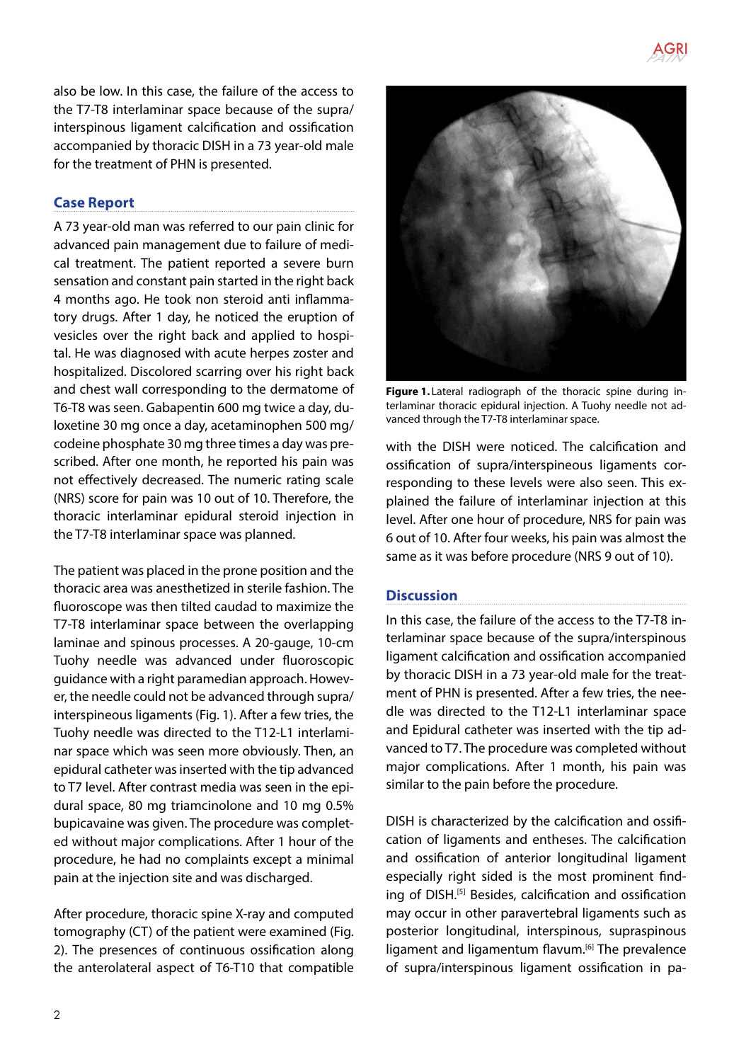

also be low. In this case, the failure of the access to the T7-T8 interlaminar space because of the supra/ interspinous ligament calcification and ossification accompanied by thoracic DISH in a 73 year-old male for the treatment of PHN is presented.

## **Case Report**

A 73 year-old man was referred to our pain clinic for advanced pain management due to failure of medical treatment. The patient reported a severe burn sensation and constant pain started in the right back 4 months ago. He took non steroid anti inflammatory drugs. After 1 day, he noticed the eruption of vesicles over the right back and applied to hospital. He was diagnosed with acute herpes zoster and hospitalized. Discolored scarring over his right back and chest wall corresponding to the dermatome of T6-T8 was seen. Gabapentin 600 mg twice a day, duloxetine 30 mg once a day, acetaminophen 500 mg/ codeine phosphate 30 mg three times a day was prescribed. After one month, he reported his pain was not effectively decreased. The numeric rating scale (NRS) score for pain was 10 out of 10. Therefore, the thoracic interlaminar epidural steroid injection in the T7-T8 interlaminar space was planned.

The patient was placed in the prone position and the thoracic area was anesthetized in sterile fashion. The fluoroscope was then tilted caudad to maximize the T7-T8 interlaminar space between the overlapping laminae and spinous processes. A 20-gauge, 10-cm Tuohy needle was advanced under fluoroscopic guidance with a right paramedian approach. However, the needle could not be advanced through supra/ interspineous ligaments (Fig. 1). After a few tries, the Tuohy needle was directed to the T12-L1 interlaminar space which was seen more obviously. Then, an epidural catheter was inserted with the tip advanced to T7 level. After contrast media was seen in the epidural space, 80 mg triamcinolone and 10 mg 0.5% bupicavaine was given. The procedure was completed without major complications. After 1 hour of the procedure, he had no complaints except a minimal pain at the injection site and was discharged.

After procedure, thoracic spine X-ray and computed tomography (CT) of the patient were examined (Fig. 2). The presences of continuous ossification along the anterolateral aspect of T6-T10 that compatible



**Figure 1.** Lateral radiograph of the thoracic spine during interlaminar thoracic epidural injection. A Tuohy needle not advanced through the T7-T8 interlaminar space.

with the DISH were noticed. The calcification and ossification of supra/interspineous ligaments corresponding to these levels were also seen. This explained the failure of interlaminar injection at this level. After one hour of procedure, NRS for pain was 6 out of 10. After four weeks, his pain was almost the same as it was before procedure (NRS 9 out of 10).

### **Discussion**

In this case, the failure of the access to the T7-T8 interlaminar space because of the supra/interspinous ligament calcification and ossification accompanied by thoracic DISH in a 73 year-old male for the treatment of PHN is presented. After a few tries, the needle was directed to the T12-L1 interlaminar space and Epidural catheter was inserted with the tip advanced to T7. The procedure was completed without major complications. After 1 month, his pain was similar to the pain before the procedure.

DISH is characterized by the calcification and ossification of ligaments and entheses. The calcification and ossification of anterior longitudinal ligament especially right sided is the most prominent finding of DISH.[5] Besides, calcification and ossification may occur in other paravertebral ligaments such as posterior longitudinal, interspinous, supraspinous ligament and ligamentum flavum.<sup>[6]</sup> The prevalence of supra/interspinous ligament ossification in pa-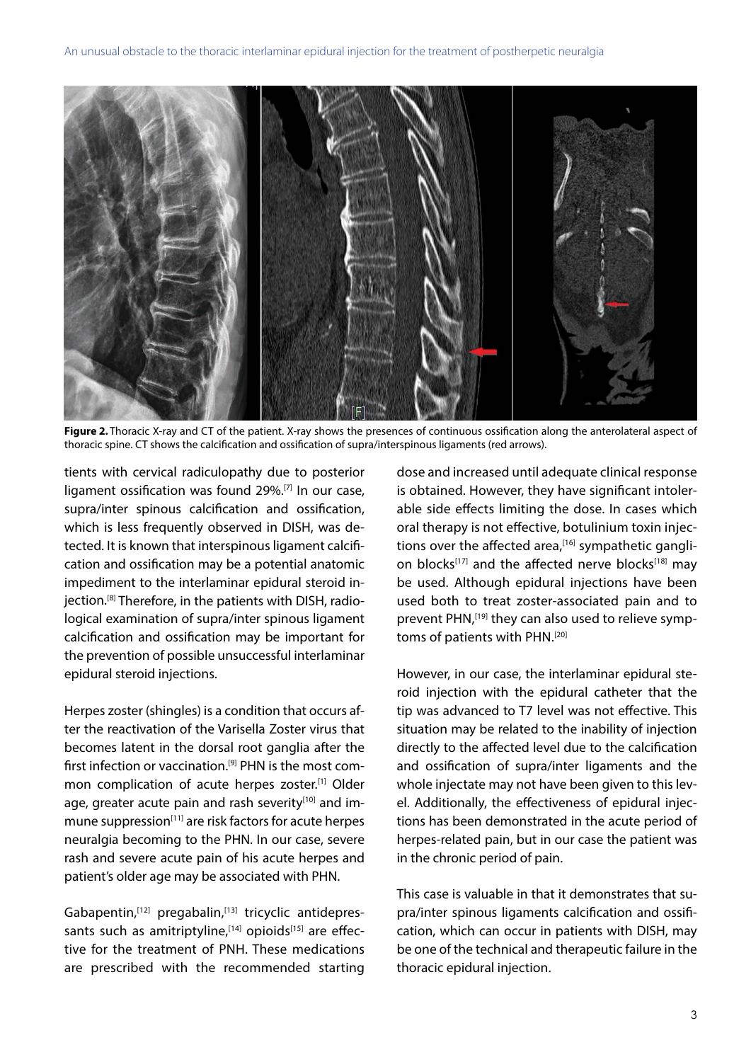

**Figure 2.** Thoracic X-ray and CT of the patient. X-ray shows the presences of continuous ossification along the anterolateral aspect of thoracic spine. CT shows the calcification and ossification of supra/interspinous ligaments (red arrows).

tients with cervical radiculopathy due to posterior ligament ossification was found 29%.[7] In our case, supra/inter spinous calcification and ossification, which is less frequently observed in DISH, was detected. It is known that interspinous ligament calcification and ossification may be a potential anatomic impediment to the interlaminar epidural steroid injection.[8] Therefore, in the patients with DISH, radiological examination of supra/inter spinous ligament calcification and ossification may be important for the prevention of possible unsuccessful interlaminar epidural steroid injections.

Herpes zoster (shingles) is a condition that occurs after the reactivation of the Varisella Zoster virus that becomes latent in the dorsal root ganglia after the first infection or vaccination.<sup>[9]</sup> PHN is the most common complication of acute herpes zoster.<sup>[1]</sup> Older age, greater acute pain and rash severity<sup>[10]</sup> and immune suppression<sup>[11]</sup> are risk factors for acute herpes neuralgia becoming to the PHN. In our case, severe rash and severe acute pain of his acute herpes and patient's older age may be associated with PHN.

Gabapentin,<sup>[12]</sup> pregabalin,<sup>[13]</sup> tricyclic antidepressants such as amitriptyline,<sup>[14]</sup> opioids<sup>[15]</sup> are effective for the treatment of PNH. These medications are prescribed with the recommended starting dose and increased until adequate clinical response is obtained. However, they have significant intolerable side effects limiting the dose. In cases which oral therapy is not effective, botulinium toxin injections over the affected area, $[16]$  sympathetic ganglion blocks<sup>[17]</sup> and the affected nerve blocks<sup>[18]</sup> may be used. Although epidural injections have been used both to treat zoster-associated pain and to prevent PHN,<sup>[19]</sup> they can also used to relieve symptoms of patients with PHN.<sup>[20]</sup>

However, in our case, the interlaminar epidural steroid injection with the epidural catheter that the tip was advanced to T7 level was not effective. This situation may be related to the inability of injection directly to the affected level due to the calcification and ossification of supra/inter ligaments and the whole injectate may not have been given to this level. Additionally, the effectiveness of epidural injections has been demonstrated in the acute period of herpes-related pain, but in our case the patient was in the chronic period of pain.

This case is valuable in that it demonstrates that supra/inter spinous ligaments calcification and ossification, which can occur in patients with DISH, may be one of the technical and therapeutic failure in the thoracic epidural injection.